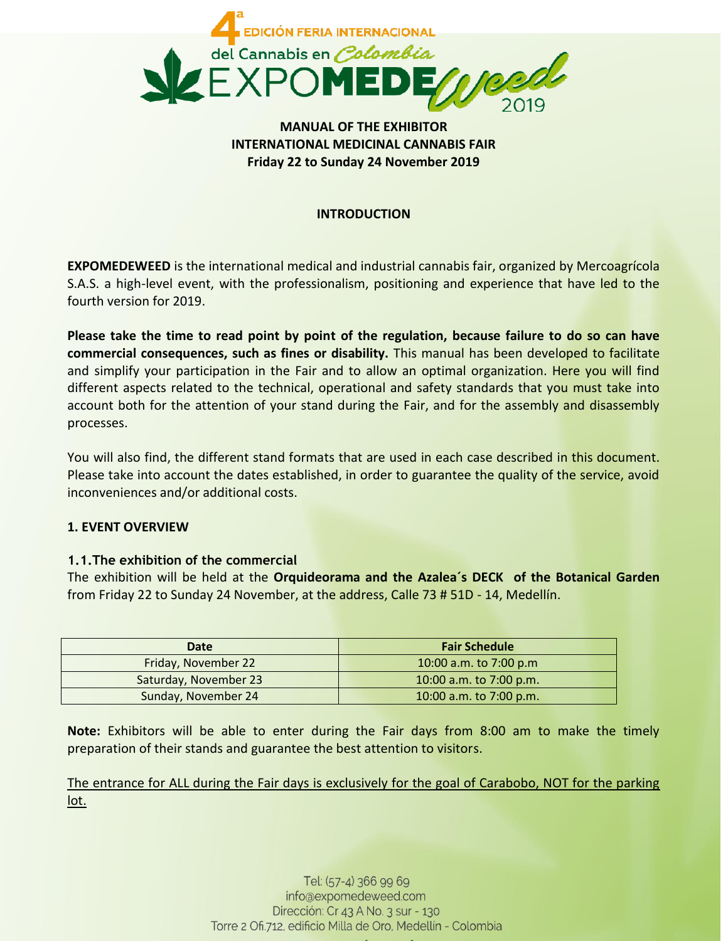

# **MANUAL OF THE EXHIBITOR INTERNATIONAL MEDICINAL CANNABIS FAIR Friday 22 to Sunday 24 November 2019**

## **INTRODUCTION**

**EXPOMEDEWEED** is the international medical and industrial cannabis fair, organized by Mercoagrícola S.A.S. a high-level event, with the professionalism, positioning and experience that have led to the fourth version for 2019.

**Please take the time to read point by point of the regulation, because failure to do so can have commercial consequences, such as fines or disability.** This manual has been developed to facilitate and simplify your participation in the Fair and to allow an optimal organization. Here you will find different aspects related to the technical, operational and safety standards that you must take into account both for the attention of your stand during the Fair, and for the assembly and disassembly processes.

You will also find, the different stand formats that are used in each case described in this document. Please take into account the dates established, in order to guarantee the quality of the service, avoid inconveniences and/or additional costs.

## **1. EVENT OVERVIEW**

## **1.1.The exhibition of the commercial**

The exhibition will be held at the **Orquideorama and the Azalea´s DECK of the Botanical Garden**  from Friday 22 to Sunday 24 November, at the address, Calle 73 # 51D - 14, Medellín.

| Date                       | <b>Fair Schedule</b>    |
|----------------------------|-------------------------|
| <b>Friday, November 22</b> | 10:00 a.m. to 7:00 p.m  |
| Saturday, November 23      | 10:00 a.m. to 7:00 p.m. |
| Sunday, November 24        | 10:00 a.m. to 7:00 p.m. |

**Note:** Exhibitors will be able to enter during the Fair days from 8:00 am to make the timely preparation of their stands and guarantee the best attention to visitors.

The entrance for ALL during the Fair days is exclusively for the goal of Carabobo, NOT for the parking lot.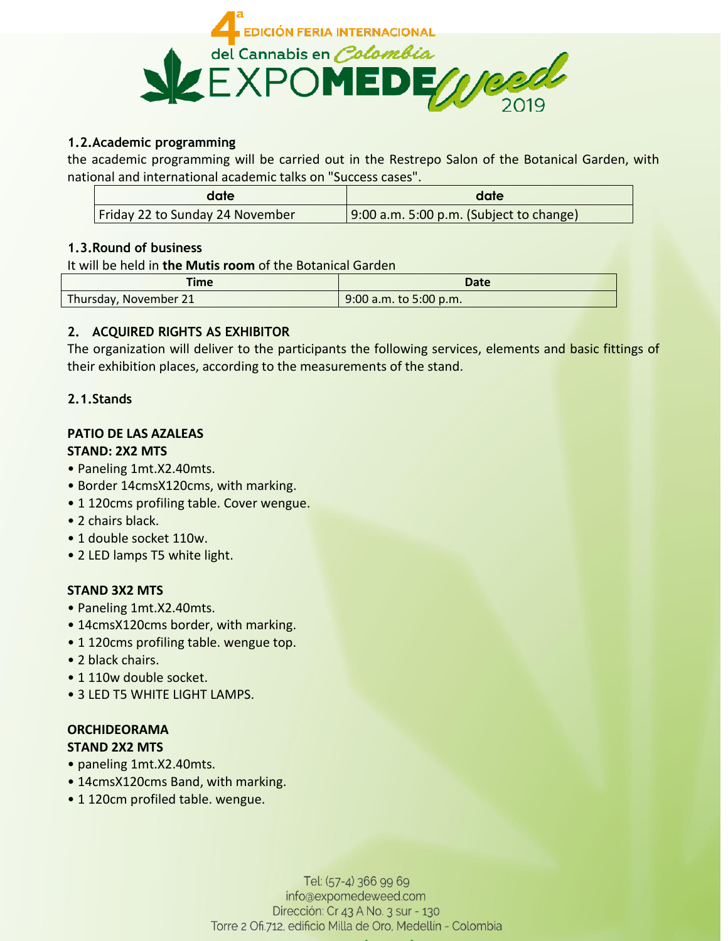

## **1.2.Academic programming**

the academic programming will be carried out in the Restrepo Salon of the Botanical Garden, with national and international academic talks on "Success cases".

| date                            | date                                       |
|---------------------------------|--------------------------------------------|
| Friday 22 to Sunday 24 November | $(9:00 a.m. 5:00 p.m.$ (Subject to change) |

## **1.3.Round of business**

It will be held in **the Mutis room** of the Botanical Garden

| Fime                  | <b>Date</b>            |
|-----------------------|------------------------|
| Thursday, November 21 | 9:00 a.m. to 5:00 p.m. |

# **2. ACQUIRED RIGHTS AS EXHIBITOR**

The organization will deliver to the participants the following services, elements and basic fittings of their exhibition places, according to the measurements of the stand.

# **2.1.Stands**

#### **PATIO DE LAS AZALEAS STAND: 2X2 MTS**

- Paneling 1mt.X2.40mts.
- Border 14cmsX120cms, with marking.
- 1 120cms profiling table. Cover wengue.
- 2 chairs black.
- 1 double socket 110w.
- 2 LED lamps T5 white light.

# **STAND 3X2 MTS**

- Paneling 1mt.X2.40mts.
- 14cmsX120cms border, with marking.
- 1 120cms profiling table. wengue top.
- 2 black chairs.
- 1 110w double socket.
- 3 LED T5 WHITE LIGHT LAMPS.

#### **ORCHIDEORAMA STAND 2X2 MTS**

- paneling 1mt.X2.40mts.
- 14cmsX120cms Band, with marking.
- 1 120cm profiled table. wengue.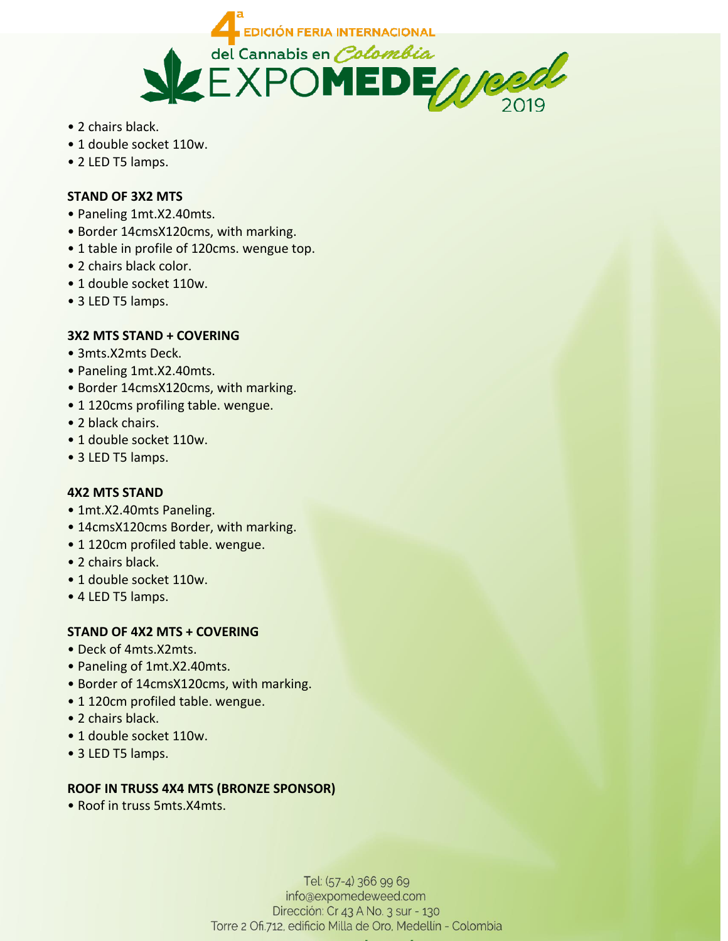

- 2 chairs black.
- 1 double socket 110w.
- 2 LED T5 lamps.

## **STAND OF 3X2 MTS**

- Paneling 1mt.X2.40mts.
- Border 14cmsX120cms, with marking.
- 1 table in profile of 120cms. wengue top.
- 2 chairs black color.
- 1 double socket 110w.
- 3 LED T5 lamps.

## **3X2 MTS STAND + COVERING**

- 3mts.X2mts Deck.
- Paneling 1mt.X2.40mts.
- Border 14cmsX120cms, with marking.
- 1 120cms profiling table. wengue.
- 2 black chairs.
- 1 double socket 110w.
- 3 LED T5 lamps.

## **4X2 MTS STAND**

- 1mt.X2.40mts Paneling.
- 14cmsX120cms Border, with marking.
- 1 120cm profiled table. wengue.
- 2 chairs black.
- 1 double socket 110w.
- 4 LED T5 lamps.

# **STAND OF 4X2 MTS + COVERING**

- Deck of 4mts.X2mts.
- Paneling of 1mt.X2.40mts.
- Border of 14cmsX120cms, with marking.
- 1 120cm profiled table. wengue.
- 2 chairs black.
- 1 double socket 110w.
- 3 LED T5 lamps.

# **ROOF IN TRUSS 4X4 MTS (BRONZE SPONSOR)**

• Roof in truss 5mts.X4mts.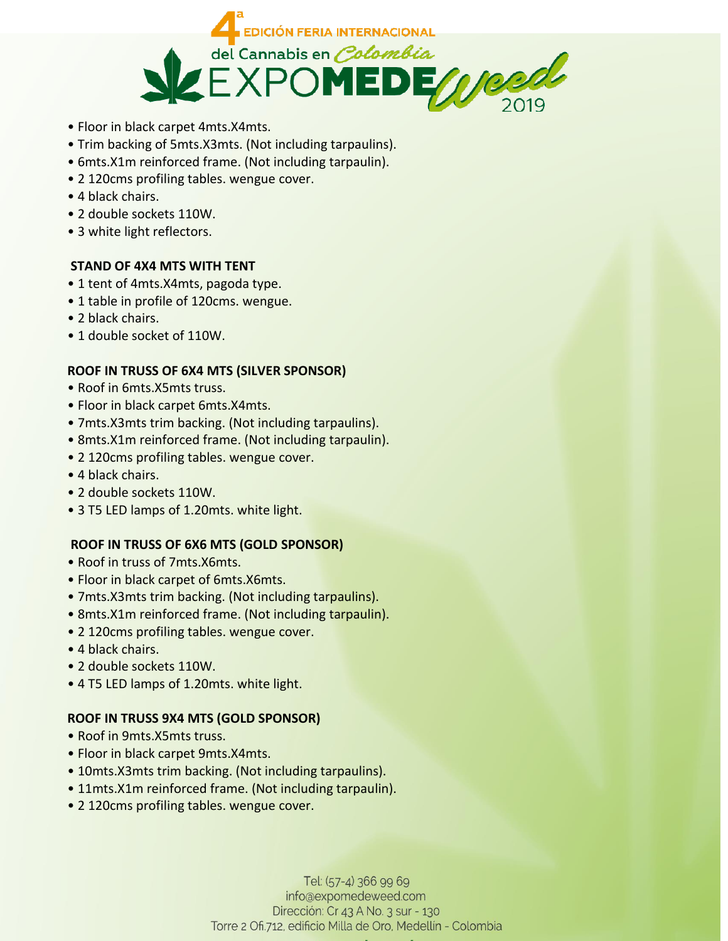

- Floor in black carpet 4mts.X4mts.
- Trim backing of 5mts.X3mts. (Not including tarpaulins).
- 6mts.X1m reinforced frame. (Not including tarpaulin).
- 2 120cms profiling tables. wengue cover.
- 4 black chairs.
- 2 double sockets 110W.
- 3 white light reflectors.

## **STAND OF 4X4 MTS WITH TENT**

- 1 tent of 4mts.X4mts, pagoda type.
- 1 table in profile of 120cms. wengue.
- 2 black chairs.
- 1 double socket of 110W.

## **ROOF IN TRUSS OF 6X4 MTS (SILVER SPONSOR)**

- Roof in 6mts.X5mts truss.
- Floor in black carpet 6mts.X4mts.
- 7mts.X3mts trim backing. (Not including tarpaulins).
- 8mts.X1m reinforced frame. (Not including tarpaulin).
- 2 120cms profiling tables. wengue cover.
- 4 black chairs.
- 2 double sockets 110W.
- 3 T5 LED lamps of 1.20mts. white light.

## **ROOF IN TRUSS OF 6X6 MTS (GOLD SPONSOR)**

- Roof in truss of 7mts.X6mts.
- Floor in black carpet of 6mts.X6mts.
- 7mts.X3mts trim backing. (Not including tarpaulins).
- 8mts.X1m reinforced frame. (Not including tarpaulin).
- 2 120cms profiling tables. wengue cover.
- 4 black chairs.
- 2 double sockets 110W.
- 4 T5 LED lamps of 1.20mts. white light.

## **ROOF IN TRUSS 9X4 MTS (GOLD SPONSOR)**

- Roof in 9mts.X5mts truss.
- Floor in black carpet 9mts.X4mts.
- 10mts.X3mts trim backing. (Not including tarpaulins).
- 11mts.X1m reinforced frame. (Not including tarpaulin).
- 2 120cms profiling tables. wengue cover.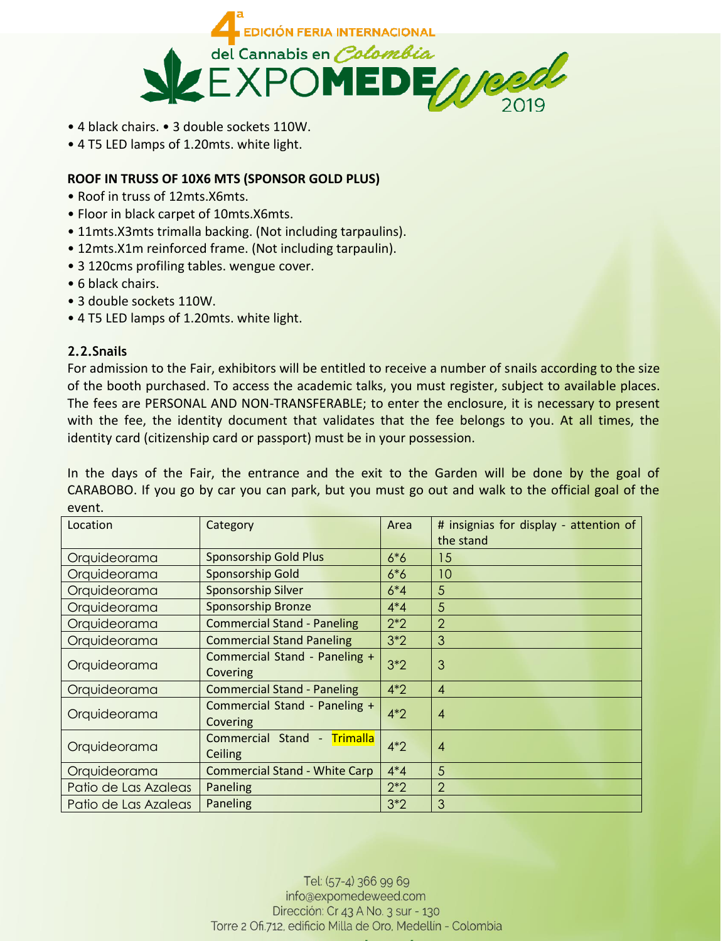

- 4 black chairs. 3 double sockets 110W.
- 4 T5 LED lamps of 1.20mts. white light.

## **ROOF IN TRUSS OF 10X6 MTS (SPONSOR GOLD PLUS)**

- Roof in truss of 12mts.X6mts.
- Floor in black carpet of 10mts.X6mts.
- 11mts.X3mts trimalla backing. (Not including tarpaulins).
- 12mts.X1m reinforced frame. (Not including tarpaulin).
- 3 120cms profiling tables. wengue cover.
- 6 black chairs.
- 3 double sockets 110W.
- 4 T5 LED lamps of 1.20mts. white light.

## **2.2.Snails**

For admission to the Fair, exhibitors will be entitled to receive a number of snails according to the size of the booth purchased. To access the academic talks, you must register, subject to available places. The fees are PERSONAL AND NON-TRANSFERABLE; to enter the enclosure, it is necessary to present with the fee, the identity document that validates that the fee belongs to you. At all times, the identity card (citizenship card or passport) must be in your possession.

In the days of the Fair, the entrance and the exit to the Garden will be done by the goal of CARABOBO. If you go by car you can park, but you must go out and walk to the official goal of the event.

| Location                                                  | Category                             | Area           | # insignias for display - attention of |
|-----------------------------------------------------------|--------------------------------------|----------------|----------------------------------------|
|                                                           |                                      |                | the stand                              |
| Orquideorama                                              | <b>Sponsorship Gold Plus</b>         | $6*6$          | 15                                     |
| Orquideorama                                              | Sponsorship Gold                     | $6*6$          | 10                                     |
| Orquideorama                                              | Sponsorship Silver                   | $6*4$          | 5                                      |
| Orquideorama                                              | <b>Sponsorship Bronze</b>            | $4*4$          | 5                                      |
| Orquideorama                                              | <b>Commercial Stand - Paneling</b>   | $2*2$          | $\overline{2}$                         |
| Orquideorama                                              | <b>Commercial Stand Paneling</b>     | $3*2$          | 3                                      |
| Orquideorama                                              | Commercial Stand - Paneling +        | $3*2$          | 3                                      |
|                                                           | Covering                             |                |                                        |
| Orquideorama                                              | <b>Commercial Stand - Paneling</b>   | $4*2$          | $\overline{4}$                         |
| Commercial Stand - Paneling +<br>Orquideorama<br>Covering | $4*2$                                | $\overline{A}$ |                                        |
|                                                           |                                      |                | Orquideorama                           |
| Ceiling                                                   |                                      |                |                                        |
| Orquideorama                                              | <b>Commercial Stand - White Carp</b> | $4*4$          | 5                                      |
| Patio de Las Azaleas                                      | Paneling                             | $2*2$          | $\overline{2}$                         |
| Patio de Las Azaleas                                      | Paneling                             | $3*2$          | 3                                      |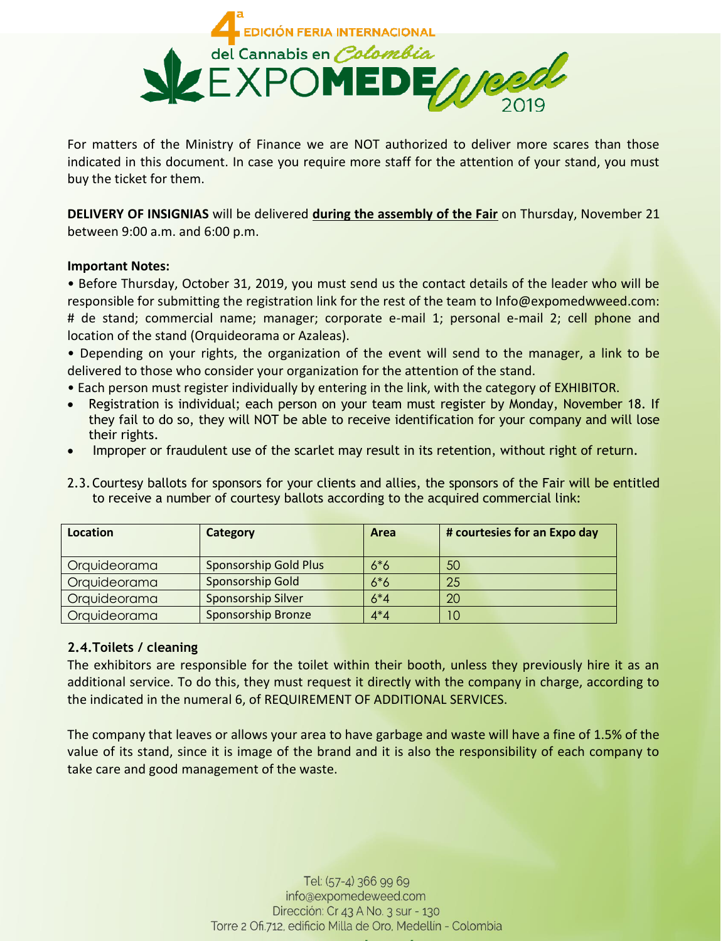

For matters of the Ministry of Finance we are NOT authorized to deliver more scares than those indicated in this document. In case you require more staff for the attention of your stand, you must buy the ticket for them.

**DELIVERY OF INSIGNIAS** will be delivered **during the assembly of the Fair** on Thursday, November 21 between 9:00 a.m. and 6:00 p.m.

#### **Important Notes:**

• Before Thursday, October 31, 2019, you must send us the contact details of the leader who will be responsible for submitting the registration link for the rest of the team to Info@expomedwweed.com: # de stand; commercial name; manager; corporate e-mail 1; personal e-mail 2; cell phone and location of the stand (Orquideorama or Azaleas).

• Depending on your rights, the organization of the event will send to the manager, a link to be delivered to those who consider your organization for the attention of the stand.

- Each person must register individually by entering in the link, with the category of EXHIBITOR.
- Registration is individual; each person on your team must register by Monday, November 18. If they fail to do so, they will NOT be able to receive identification for your company and will lose their rights.
- Improper or fraudulent use of the scarlet may result in its retention, without right of return.
- 2.3. Courtesy ballots for sponsors for your clients and allies, the sponsors of the Fair will be entitled to receive a number of courtesy ballots according to the acquired commercial link:

| <b>Location</b> | Category                     | Area  | # courtesies for an Expo day |
|-----------------|------------------------------|-------|------------------------------|
| Orquideorama    | <b>Sponsorship Gold Plus</b> | $6*6$ | 50                           |
| Orquideorama    | Sponsorship Gold             | $6*6$ | 25                           |
| Orquideorama    | <b>Sponsorship Silver</b>    | $6*4$ | 20                           |
| Orquideorama    | <b>Sponsorship Bronze</b>    | $4*4$ | 10                           |

## **2.4.Toilets / cleaning**

The exhibitors are responsible for the toilet within their booth, unless they previously hire it as an additional service. To do this, they must request it directly with the company in charge, according to the indicated in the numeral 6, of REQUIREMENT OF ADDITIONAL SERVICES.

The company that leaves or allows your area to have garbage and waste will have a fine of 1.5% of the value of its stand, since it is image of the brand and it is also the responsibility of each company to take care and good management of the waste.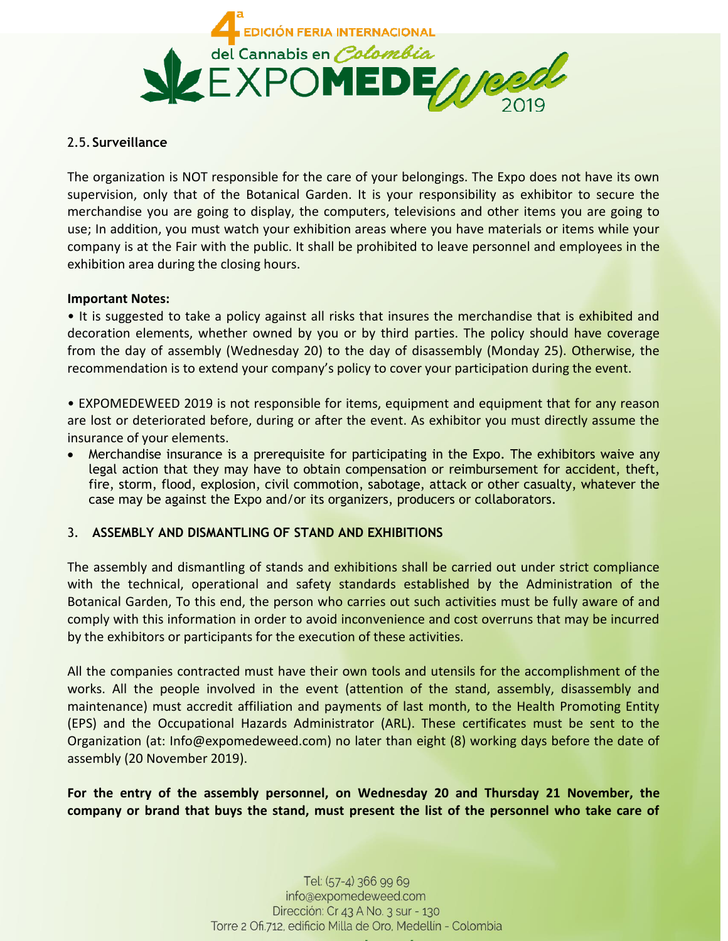

### 2.5.**Surveillance**

The organization is NOT responsible for the care of your belongings. The Expo does not have its own supervision, only that of the Botanical Garden. It is your responsibility as exhibitor to secure the merchandise you are going to display, the computers, televisions and other items you are going to use; In addition, you must watch your exhibition areas where you have materials or items while your company is at the Fair with the public. It shall be prohibited to leave personnel and employees in the exhibition area during the closing hours.

#### **Important Notes:**

• It is suggested to take a policy against all risks that insures the merchandise that is exhibited and decoration elements, whether owned by you or by third parties. The policy should have coverage from the day of assembly (Wednesday 20) to the day of disassembly (Monday 25). Otherwise, the recommendation is to extend your company's policy to cover your participation during the event.

• EXPOMEDEWEED 2019 is not responsible for items, equipment and equipment that for any reason are lost or deteriorated before, during or after the event. As exhibitor you must directly assume the insurance of your elements.

• Merchandise insurance is a prerequisite for participating in the Expo. The exhibitors waive any legal action that they may have to obtain compensation or reimbursement for accident, theft, fire, storm, flood, explosion, civil commotion, sabotage, attack or other casualty, whatever the case may be against the Expo and/or its organizers, producers or collaborators.

## 3. **ASSEMBLY AND DISMANTLING OF STAND AND EXHIBITIONS**

The assembly and dismantling of stands and exhibitions shall be carried out under strict compliance with the technical, operational and safety standards established by the Administration of the Botanical Garden, To this end, the person who carries out such activities must be fully aware of and comply with this information in order to avoid inconvenience and cost overruns that may be incurred by the exhibitors or participants for the execution of these activities.

All the companies contracted must have their own tools and utensils for the accomplishment of the works. All the people involved in the event (attention of the stand, assembly, disassembly and maintenance) must accredit affiliation and payments of last month, to the Health Promoting Entity (EPS) and the Occupational Hazards Administrator (ARL). These certificates must be sent to the Organization (at: Info@expomedeweed.com) no later than eight (8) working days before the date of assembly (20 November 2019).

**For the entry of the assembly personnel, on Wednesday 20 and Thursday 21 November, the company or brand that buys the stand, must present the list of the personnel who take care of**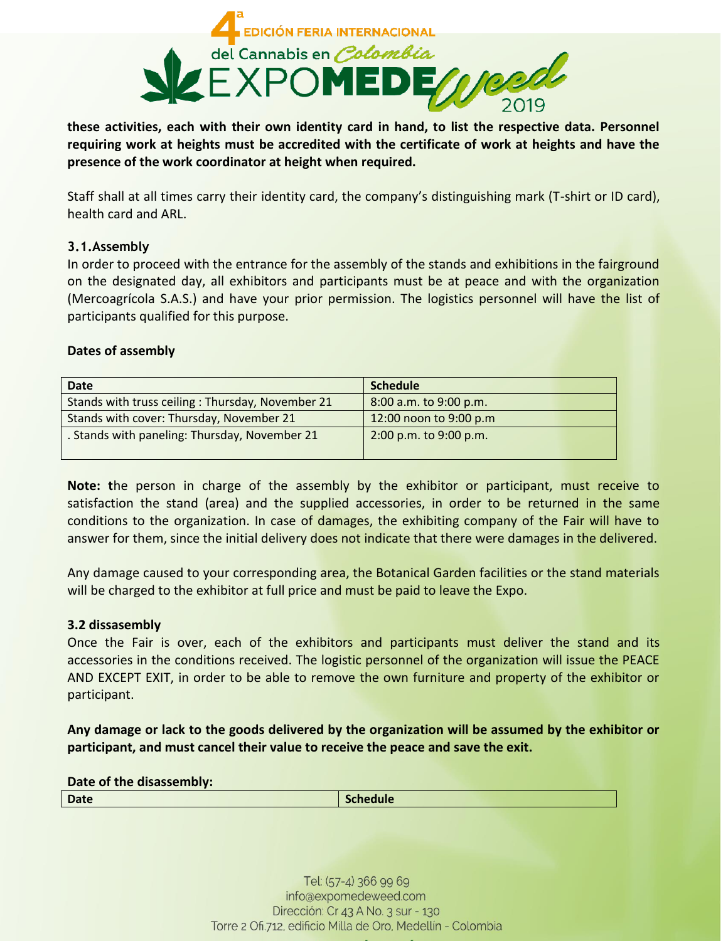

**these activities, each with their own identity card in hand, to list the respective data. Personnel requiring work at heights must be accredited with the certificate of work at heights and have the presence of the work coordinator at height when required.** 

Staff shall at all times carry their identity card, the company's distinguishing mark (T-shirt or ID card), health card and ARL.

#### **3.1.Assembly**

In order to proceed with the entrance for the assembly of the stands and exhibitions in the fairground on the designated day, all exhibitors and participants must be at peace and with the organization (Mercoagrícola S.A.S.) and have your prior permission. The logistics personnel will have the list of participants qualified for this purpose.

#### **Dates of assembly**

| Date                                             | <b>Schedule</b>        |
|--------------------------------------------------|------------------------|
| Stands with truss ceiling: Thursday, November 21 | 8:00 a.m. to 9:00 p.m. |
| Stands with cover: Thursday, November 21         | 12:00 noon to 9:00 p.m |
| . Stands with paneling: Thursday, November 21    | 2:00 p.m. to 9:00 p.m. |

**Note: t**he person in charge of the assembly by the exhibitor or participant, must receive to satisfaction the stand (area) and the supplied accessories, in order to be returned in the same conditions to the organization. In case of damages, the exhibiting company of the Fair will have to answer for them, since the initial delivery does not indicate that there were damages in the delivered.

Any damage caused to your corresponding area, the Botanical Garden facilities or the stand materials will be charged to the exhibitor at full price and must be paid to leave the Expo.

#### **3.2 dissasembly**

Once the Fair is over, each of the exhibitors and participants must deliver the stand and its accessories in the conditions received. The logistic personnel of the organization will issue the PEACE AND EXCEPT EXIT, in order to be able to remove the own furniture and property of the exhibitor or participant.

**Any damage or lack to the goods delivered by the organization will be assumed by the exhibitor or participant, and must cancel their value to receive the peace and save the exit.** 

**Date of the disassembly:**

**Date** Schedule **Schedule Schedule**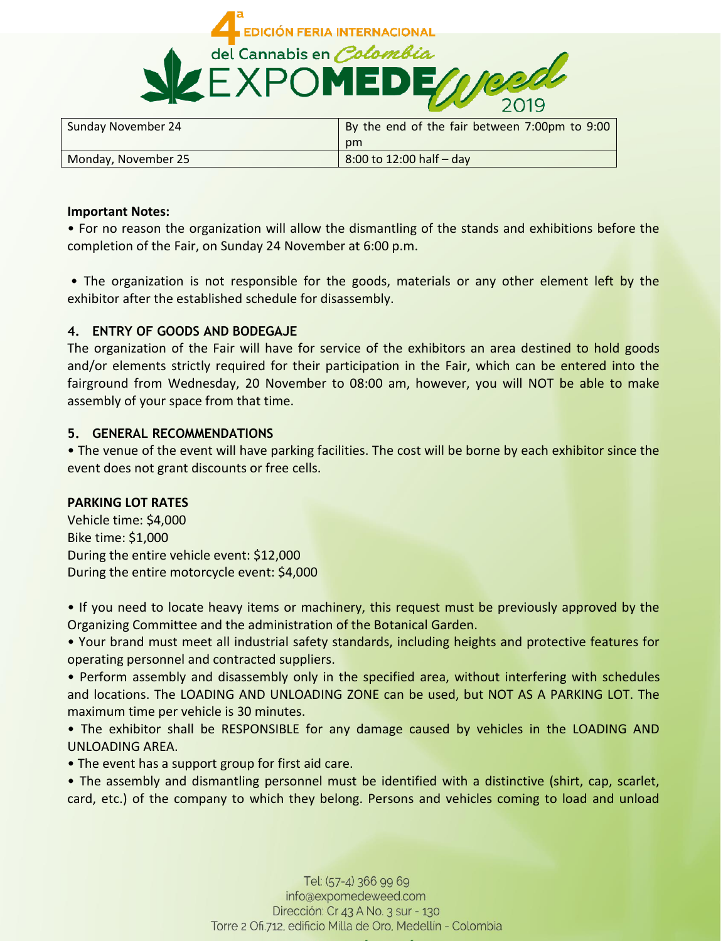

| Sunday November 24  | By the end of the fair between 7:00pm to 9:00 |
|---------------------|-----------------------------------------------|
|                     | pm                                            |
| Monday, November 25 | 8:00 to 12:00 half - day                      |

#### **Important Notes:**

• For no reason the organization will allow the dismantling of the stands and exhibitions before the completion of the Fair, on Sunday 24 November at 6:00 p.m.

• The organization is not responsible for the goods, materials or any other element left by the exhibitor after the established schedule for disassembly.

## **4. ENTRY OF GOODS AND BODEGAJE**

The organization of the Fair will have for service of the exhibitors an area destined to hold goods and/or elements strictly required for their participation in the Fair, which can be entered into the fairground from Wednesday, 20 November to 08:00 am, however, you will NOT be able to make assembly of your space from that time.

## **5. GENERAL RECOMMENDATIONS**

• The venue of the event will have parking facilities. The cost will be borne by each exhibitor since the event does not grant discounts or free cells.

## **PARKING LOT RATES**

Vehicle time: \$4,000 Bike time: \$1,000 During the entire vehicle event: \$12,000 During the entire motorcycle event: \$4,000

• If you need to locate heavy items or machinery, this request must be previously approved by the Organizing Committee and the administration of the Botanical Garden.

• Your brand must meet all industrial safety standards, including heights and protective features for operating personnel and contracted suppliers.

• Perform assembly and disassembly only in the specified area, without interfering with schedules and locations. The LOADING AND UNLOADING ZONE can be used, but NOT AS A PARKING LOT. The maximum time per vehicle is 30 minutes.

• The exhibitor shall be RESPONSIBLE for any damage caused by vehicles in the LOADING AND UNLOADING AREA.

• The event has a support group for first aid care.

• The assembly and dismantling personnel must be identified with a distinctive (shirt, cap, scarlet, card, etc.) of the company to which they belong. Persons and vehicles coming to load and unload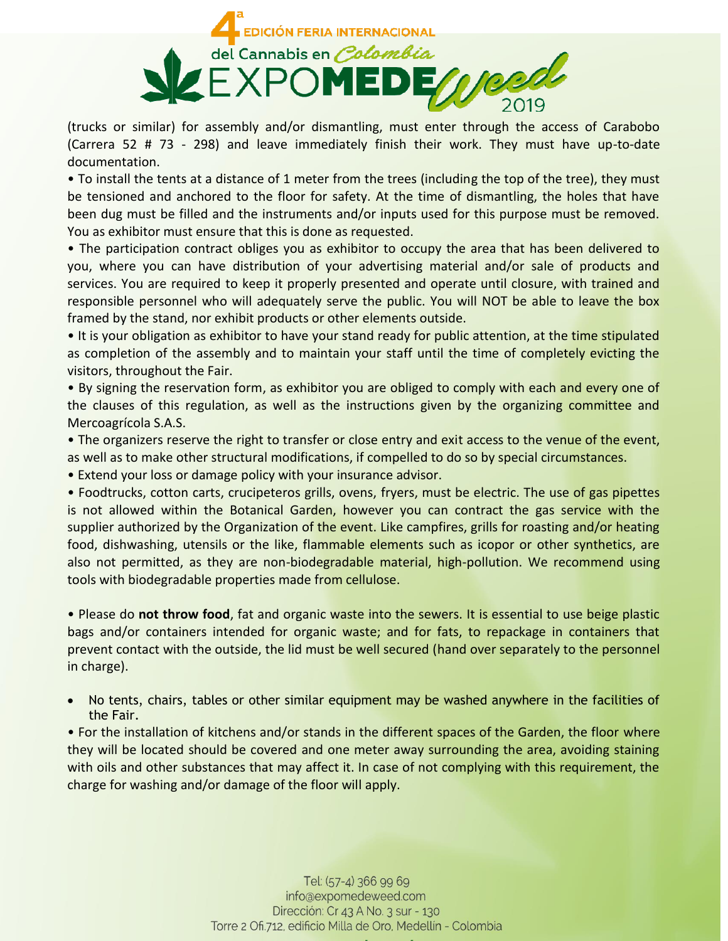

(trucks or similar) for assembly and/or dismantling, must enter through the access of Carabobo (Carrera 52 # 73 - 298) and leave immediately finish their work. They must have up-to-date documentation.

• To install the tents at a distance of 1 meter from the trees (including the top of the tree), they must be tensioned and anchored to the floor for safety. At the time of dismantling, the holes that have been dug must be filled and the instruments and/or inputs used for this purpose must be removed. You as exhibitor must ensure that this is done as requested.

• The participation contract obliges you as exhibitor to occupy the area that has been delivered to you, where you can have distribution of your advertising material and/or sale of products and services. You are required to keep it properly presented and operate until closure, with trained and responsible personnel who will adequately serve the public. You will NOT be able to leave the box framed by the stand, nor exhibit products or other elements outside.

• It is your obligation as exhibitor to have your stand ready for public attention, at the time stipulated as completion of the assembly and to maintain your staff until the time of completely evicting the visitors, throughout the Fair.

• By signing the reservation form, as exhibitor you are obliged to comply with each and every one of the clauses of this regulation, as well as the instructions given by the organizing committee and Mercoagrícola S.A.S.

• The organizers reserve the right to transfer or close entry and exit access to the venue of the event, as well as to make other structural modifications, if compelled to do so by special circumstances.

• Extend your loss or damage policy with your insurance advisor.

• Foodtrucks, cotton carts, crucipeteros grills, ovens, fryers, must be electric. The use of gas pipettes is not allowed within the Botanical Garden, however you can contract the gas service with the supplier authorized by the Organization of the event. Like campfires, grills for roasting and/or heating food, dishwashing, utensils or the like, flammable elements such as icopor or other synthetics, are also not permitted, as they are non-biodegradable material, high-pollution. We recommend using tools with biodegradable properties made from cellulose.

• Please do **not throw food**, fat and organic waste into the sewers. It is essential to use beige plastic bags and/or containers intended for organic waste; and for fats, to repackage in containers that prevent contact with the outside, the lid must be well secured (hand over separately to the personnel in charge).

 No tents, chairs, tables or other similar equipment may be washed anywhere in the facilities of the Fair.

• For the installation of kitchens and/or stands in the different spaces of the Garden, the floor where they will be located should be covered and one meter away surrounding the area, avoiding staining with oils and other substances that may affect it. In case of not complying with this requirement, the charge for washing and/or damage of the floor will apply.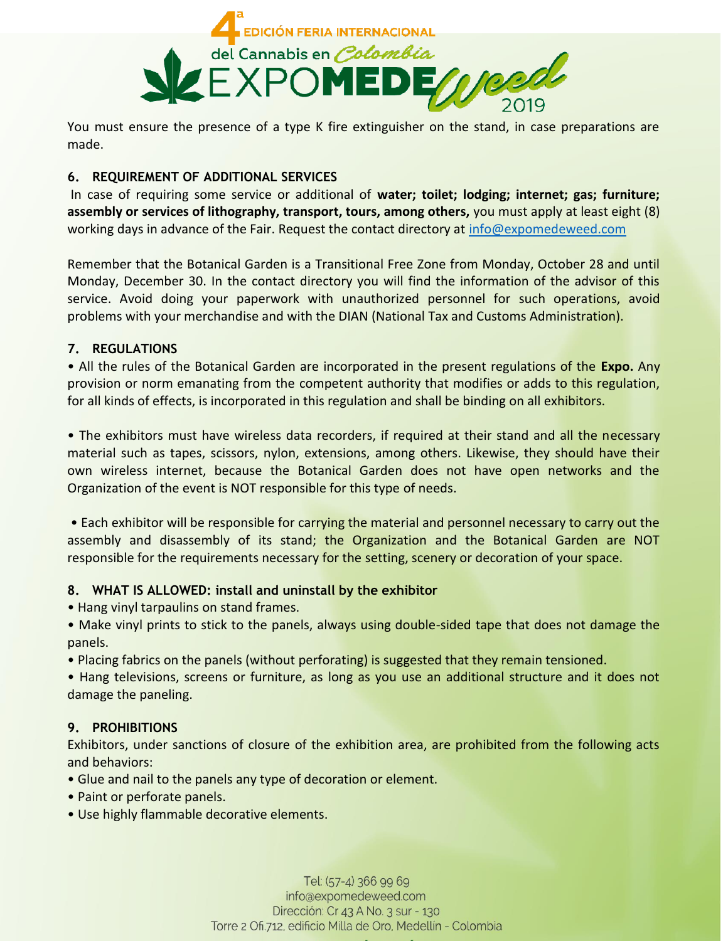

You must ensure the presence of a type K fire extinguisher on the stand, in case preparations are made.

## **6. REQUIREMENT OF ADDITIONAL SERVICES**

In case of requiring some service or additional of **water; toilet; lodging; internet; gas; furniture; assembly or services of lithography, transport, tours, among others,** you must apply at least eight (8) working days in advance of the Fair. Request the contact directory at [info@expomedeweed.com](mailto:info@expomedeweed.com)

Remember that the Botanical Garden is a Transitional Free Zone from Monday, October 28 and until Monday, December 30. In the contact directory you will find the information of the advisor of this service. Avoid doing your paperwork with unauthorized personnel for such operations, avoid problems with your merchandise and with the DIAN (National Tax and Customs Administration).

## **7. REGULATIONS**

• All the rules of the Botanical Garden are incorporated in the present regulations of the **Expo.** Any provision or norm emanating from the competent authority that modifies or adds to this regulation, for all kinds of effects, is incorporated in this regulation and shall be binding on all exhibitors.

• The exhibitors must have wireless data recorders, if required at their stand and all the necessary material such as tapes, scissors, nylon, extensions, among others. Likewise, they should have their own wireless internet, because the Botanical Garden does not have open networks and the Organization of the event is NOT responsible for this type of needs.

• Each exhibitor will be responsible for carrying the material and personnel necessary to carry out the assembly and disassembly of its stand; the Organization and the Botanical Garden are NOT responsible for the requirements necessary for the setting, scenery or decoration of your space.

## **8. WHAT IS ALLOWED: install and uninstall by the exhibitor**

• Hang vinyl tarpaulins on stand frames.

• Make vinyl prints to stick to the panels, always using double-sided tape that does not damage the panels.

• Placing fabrics on the panels (without perforating) is suggested that they remain tensioned.

• Hang televisions, screens or furniture, as long as you use an additional structure and it does not damage the paneling.

# **9. PROHIBITIONS**

Exhibitors, under sanctions of closure of the exhibition area, are prohibited from the following acts and behaviors:

- Glue and nail to the panels any type of decoration or element.
- Paint or perforate panels.
- Use highly flammable decorative elements.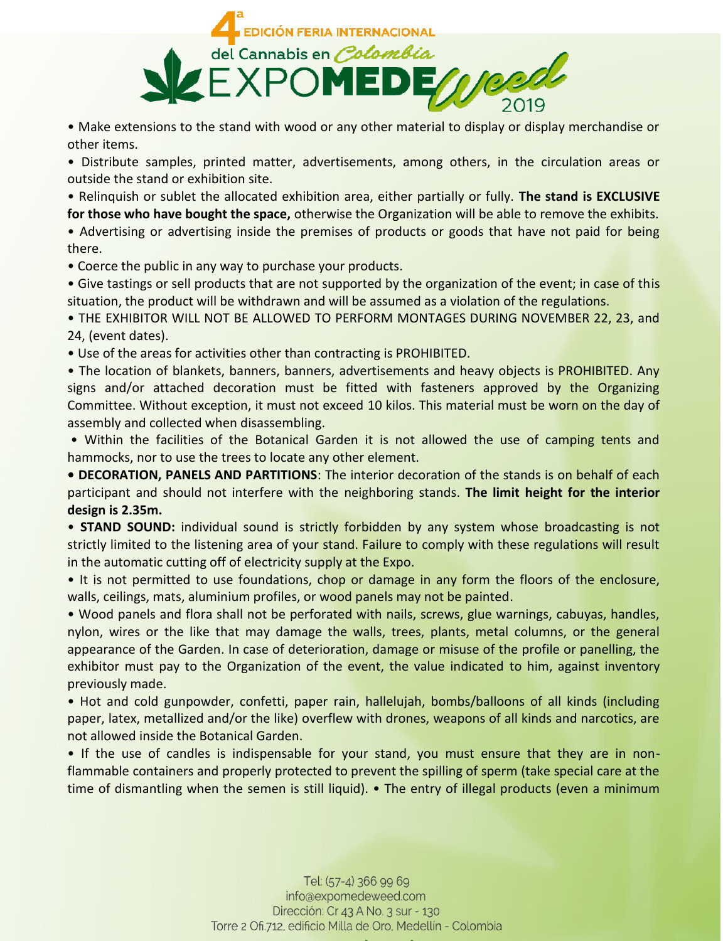

• Make extensions to the stand with wood or any other material to display or display merchandise or other items.

• Distribute samples, printed matter, advertisements, among others, in the circulation areas or outside the stand or exhibition site.

• Relinquish or sublet the allocated exhibition area, either partially or fully. **The stand is EXCLUSIVE for those who have bought the space,** otherwise the Organization will be able to remove the exhibits.

• Advertising or advertising inside the premises of products or goods that have not paid for being there.

• Coerce the public in any way to purchase your products.

• Give tastings or sell products that are not supported by the organization of the event; in case of this situation, the product will be withdrawn and will be assumed as a violation of the regulations.

• THE EXHIBITOR WILL NOT BE ALLOWED TO PERFORM MONTAGES DURING NOVEMBER 22, 23, and 24, (event dates).

• Use of the areas for activities other than contracting is PROHIBITED.

• The location of blankets, banners, banners, advertisements and heavy objects is PROHIBITED. Any signs and/or attached decoration must be fitted with fasteners approved by the Organizing Committee. Without exception, it must not exceed 10 kilos. This material must be worn on the day of assembly and collected when disassembling.

• Within the facilities of the Botanical Garden it is not allowed the use of camping tents and hammocks, nor to use the trees to locate any other element.

**• DECORATION, PANELS AND PARTITIONS**: The interior decoration of the stands is on behalf of each participant and should not interfere with the neighboring stands. **The limit height for the interior design is 2.35m.**

• **STAND SOUND:** individual sound is strictly forbidden by any system whose broadcasting is not strictly limited to the listening area of your stand. Failure to comply with these regulations will result in the automatic cutting off of electricity supply at the Expo.

• It is not permitted to use foundations, chop or damage in any form the floors of the enclosure, walls, ceilings, mats, aluminium profiles, or wood panels may not be painted.

• Wood panels and flora shall not be perforated with nails, screws, glue warnings, cabuyas, handles, nylon, wires or the like that may damage the walls, trees, plants, metal columns, or the general appearance of the Garden. In case of deterioration, damage or misuse of the profile or panelling, the exhibitor must pay to the Organization of the event, the value indicated to him, against inventory previously made.

• Hot and cold gunpowder, confetti, paper rain, hallelujah, bombs/balloons of all kinds (including paper, latex, metallized and/or the like) overflew with drones, weapons of all kinds and narcotics, are not allowed inside the Botanical Garden.

• If the use of candles is indispensable for your stand, you must ensure that they are in nonflammable containers and properly protected to prevent the spilling of sperm (take special care at the time of dismantling when the semen is still liquid). • The entry of illegal products (even a minimum